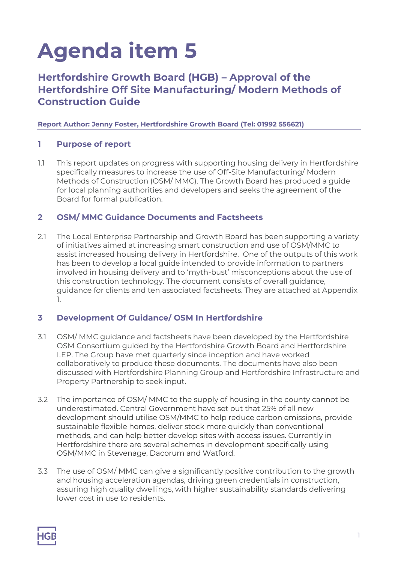# **Agenda item 5**

## **Hertfordshire Growth Board (HGB) – Approval of the Hertfordshire Off Site Manufacturing/ Modern Methods of Construction Guide**

#### **Report Author: Jenny Foster, Hertfordshire Growth Board (Tel: 01992 556621)**

#### **1 Purpose of report**

1.1 This report updates on progress with supporting housing delivery in Hertfordshire specifically measures to increase the use of Off-Site Manufacturing/ Modern Methods of Construction (OSM/ MMC). The Growth Board has produced a guide for local planning authorities and developers and seeks the agreement of the Board for formal publication.

#### **2 OSM/ MMC Guidance Documents and Factsheets**

2.1 The Local Enterprise Partnership and Growth Board has been supporting a variety of initiatives aimed at increasing smart construction and use of OSM/MMC to assist increased housing delivery in Hertfordshire. One of the outputs of this work has been to develop a local guide intended to provide information to partners involved in housing delivery and to 'myth-bust' misconceptions about the use of this construction technology. The document consists of overall guidance, guidance for clients and ten associated factsheets. They are attached at Appendix 1.

#### **3 Development Of Guidance/ OSM In Hertfordshire**

- 3.1 OSM/ MMC guidance and factsheets have been developed by the Hertfordshire OSM Consortium guided by the Hertfordshire Growth Board and Hertfordshire LEP. The Group have met quarterly since inception and have worked collaboratively to produce these documents. The documents have also been discussed with Hertfordshire Planning Group and Hertfordshire Infrastructure and Property Partnership to seek input.
- 3.2 The importance of OSM/ MMC to the supply of housing in the county cannot be underestimated. Central Government have set out that 25% of all new development should utilise OSM/MMC to help reduce carbon emissions, provide sustainable flexible homes, deliver stock more quickly than conventional methods, and can help better develop sites with access issues. Currently in Hertfordshire there are several schemes in development specifically using OSM/MMC in Stevenage, Dacorum and Watford.
- 3.3 The use of OSM/ MMC can give a significantly positive contribution to the growth and housing acceleration agendas, driving green credentials in construction, assuring high quality dwellings, with higher sustainability standards delivering lower cost in use to residents.

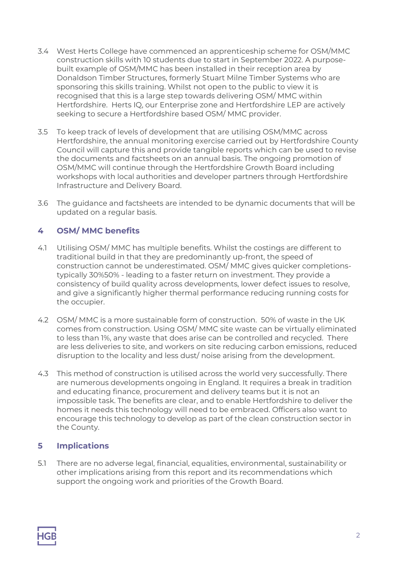- 3.4 West Herts College have commenced an apprenticeship scheme for OSM/MMC construction skills with 10 students due to start in September 2022. A purposebuilt example of OSM/MMC has been installed in their reception area by Donaldson Timber Structures, formerly Stuart Milne Timber Systems who are sponsoring this skills training. Whilst not open to the public to view it is recognised that this is a large step towards delivering OSM/ MMC within Hertfordshire. Herts IQ, our Enterprise zone and Hertfordshire LEP are actively seeking to secure a Hertfordshire based OSM/ MMC provider.
- 3.5 To keep track of levels of development that are utilising OSM/MMC across Hertfordshire, the annual monitoring exercise carried out by Hertfordshire County Council will capture this and provide tangible reports which can be used to revise the documents and factsheets on an annual basis. The ongoing promotion of OSM/MMC will continue through the Hertfordshire Growth Board including workshops with local authorities and developer partners through Hertfordshire Infrastructure and Delivery Board.
- 3.6 The guidance and factsheets are intended to be dynamic documents that will be updated on a regular basis.

### **4 OSM/ MMC benefits**

- 4.1 Utilising OSM/ MMC has multiple benefits. Whilst the costings are different to traditional build in that they are predominantly up-front, the speed of construction cannot be underestimated. OSM/ MMC gives quicker completionstypically 30%50% - leading to a faster return on investment. They provide a consistency of build quality across developments, lower defect issues to resolve, and give a significantly higher thermal performance reducing running costs for the occupier.
- 4.2 OSM/ MMC is a more sustainable form of construction. 50% of waste in the UK comes from construction. Using OSM/ MMC site waste can be virtually eliminated to less than 1%, any waste that does arise can be controlled and recycled. There are less deliveries to site, and workers on site reducing carbon emissions, reduced disruption to the locality and less dust/ noise arising from the development.
- 4.3 This method of construction is utilised across the world very successfully. There are numerous developments ongoing in England. It requires a break in tradition and educating finance, procurement and delivery teams but it is not an impossible task. The benefits are clear, and to enable Hertfordshire to deliver the homes it needs this technology will need to be embraced. Officers also want to encourage this technology to develop as part of the clean construction sector in the County.

#### **5 Implications**

5.1 There are no adverse legal, financial, equalities, environmental, sustainability or other implications arising from this report and its recommendations which support the ongoing work and priorities of the Growth Board.